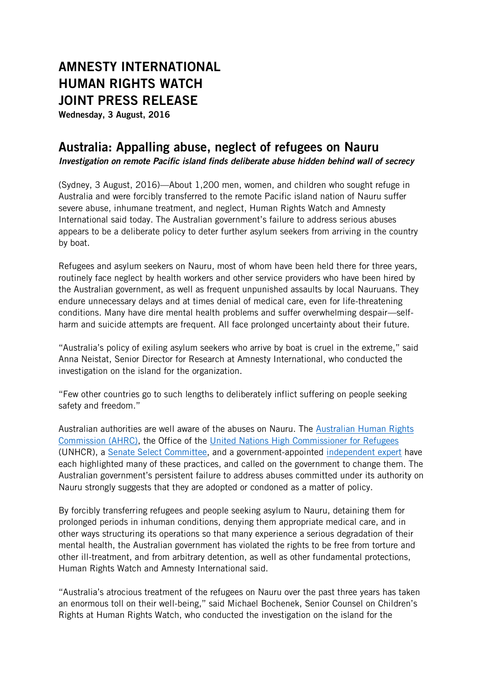# **AMNESTY INTERNATIONAL HUMAN RIGHTS WATCH JOINT PRESS RELEASE**

**Wednesday, 3 August, 2016**

## **Australia: Appalling abuse, neglect of refugees on Nauru**

*Investigation on remote Pacific island finds deliberate abuse hidden behind wall of secrecy*

(Sydney, 3 August, 2016)—About 1,200 men, women, and children who sought refuge in Australia and were forcibly transferred to the remote Pacific island nation of Nauru suffer severe abuse, inhumane treatment, and neglect, Human Rights Watch and Amnesty International said today. The Australian government's failure to address serious abuses appears to be a deliberate policy to deter further asylum seekers from arriving in the country by boat.

Refugees and asylum seekers on Nauru, most of whom have been held there for three years, routinely face neglect by health workers and other service providers who have been hired by the Australian government, as well as frequent unpunished assaults by local Nauruans. They endure unnecessary delays and at times denial of medical care, even for life-threatening conditions. Many have dire mental health problems and suffer overwhelming despair—selfharm and suicide attempts are frequent. All face prolonged uncertainty about their future.

"Australia's policy of exiling asylum seekers who arrive by boat is cruel in the extreme," said Anna Neistat, Senior Director for Research at Amnesty International, who conducted the investigation on the island for the organization.

"Few other countries go to such lengths to deliberately inflict suffering on people seeking safety and freedom."

Australian authorities are well aware of the abuses on Nauru. The [Australian Human Rights](https://www.humanrights.gov.au/news/stories/new-report-experts-reveal-alarming-impact-detention-children)  [Commission](https://www.humanrights.gov.au/news/stories/new-report-experts-reveal-alarming-impact-detention-children) (AHRC), the Office of the [United Nations High Commissioner for Refugees](http://www.abc.net.au/news/2016-05-05/unhcr-presses-for-transfer-of-refugees-out-of-detention-centres/7385748) (UNHCR), a [Senate Select Committee,](http://www.aph.gov.au/select_regionalprocessingnauru) and a government-appointed [independent expert](https://www.theguardian.com/australia-news/2015/mar/20/rapes-and-fears-for-safety-on-nauru-uncovered-by-independent-moss-review) have each highlighted many of these practices, and called on the government to change them. The Australian government's persistent failure to address abuses committed under its authority on Nauru strongly suggests that they are adopted or condoned as a matter of policy.

By forcibly transferring refugees and people seeking asylum to Nauru, detaining them for prolonged periods in inhuman conditions, denying them appropriate medical care, and in other ways structuring its operations so that many experience a serious degradation of their mental health, the Australian government has violated the rights to be free from torture and other ill-treatment, and from arbitrary detention, as well as other fundamental protections, Human Rights Watch and Amnesty International said.

"Australia's atrocious treatment of the refugees on Nauru over the past three years has taken an enormous toll on their well-being," said Michael Bochenek, Senior Counsel on Children's Rights at Human Rights Watch, who conducted the investigation on the island for the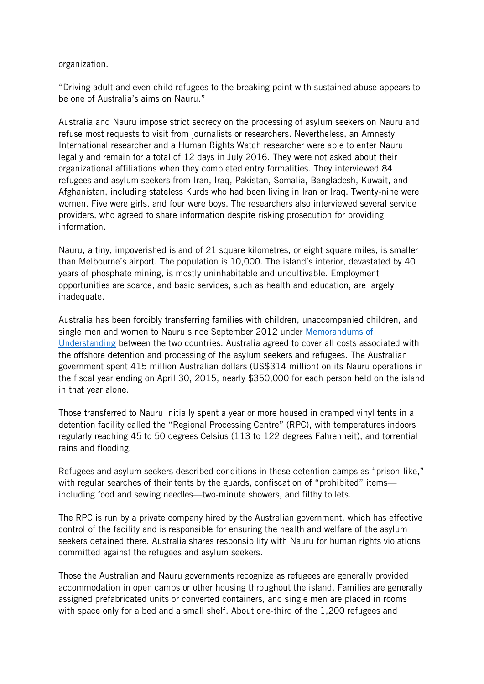#### organization.

"Driving adult and even child refugees to the breaking point with sustained abuse appears to be one of Australia's aims on Nauru."

Australia and Nauru impose strict secrecy on the processing of asylum seekers on Nauru and refuse most requests to visit from journalists or researchers. Nevertheless, an Amnesty International researcher and a Human Rights Watch researcher were able to enter Nauru legally and remain for a total of 12 days in July 2016. They were not asked about their organizational affiliations when they completed entry formalities. They interviewed 84 refugees and asylum seekers from Iran, Iraq, Pakistan, Somalia, Bangladesh, Kuwait, and Afghanistan, including stateless Kurds who had been living in Iran or Iraq. Twenty-nine were women. Five were girls, and four were boys. The researchers also interviewed several service providers, who agreed to share information despite risking prosecution for providing information.

Nauru, a tiny, impoverished island of 21 square kilometres, or eight square miles, is smaller than Melbourne's airport. The population is 10,000. The island's interior, devastated by 40 years of phosphate mining, is mostly uninhabitable and uncultivable. Employment opportunities are scarce, and basic services, such as health and education, are largely inadequate.

Australia has been forcibly transferring families with children, unaccompanied children, and single men and women to Nauru since September 2012 under Memorandums of [Understanding](http://dfat.gov.au/geo/nauru/pages/memorandum-of-understanding-between-the-republic-of-nauru-and-the-commonwealth-of-australia-relating-to-the-transfer-to-and.aspx) between the two countries. Australia agreed to cover all costs associated with the offshore detention and processing of the asylum seekers and refugees. The Australian government spent 415 million Australian dollars (US\$314 million) on its Nauru operations in the fiscal year ending on April 30, 2015, nearly \$350,000 for each person held on the island in that year alone.

Those transferred to Nauru initially spent a year or more housed in cramped vinyl tents in a detention facility called the "Regional Processing Centre" (RPC), with temperatures indoors regularly reaching 45 to 50 degrees Celsius (113 to 122 degrees Fahrenheit), and torrential rains and flooding.

Refugees and asylum seekers described conditions in these detention camps as "prison-like," with regular searches of their tents by the guards, confiscation of "prohibited" items including food and sewing needles—two-minute showers, and filthy toilets.

The RPC is run by a private company hired by the Australian government, which has effective control of the facility and is responsible for ensuring the health and welfare of the asylum seekers detained there. Australia shares responsibility with Nauru for human rights violations committed against the refugees and asylum seekers.

Those the Australian and Nauru governments recognize as refugees are generally provided accommodation in open camps or other housing throughout the island. Families are generally assigned prefabricated units or converted containers, and single men are placed in rooms with space only for a bed and a small shelf. About one-third of the 1,200 refugees and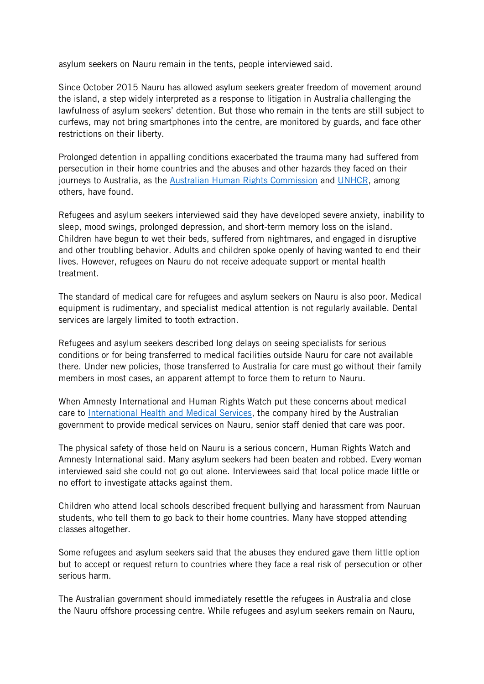asylum seekers on Nauru remain in the tents, people interviewed said.

Since October 2015 Nauru has allowed asylum seekers greater freedom of movement around the island, a step widely interpreted as a response to litigation in Australia challenging the lawfulness of asylum seekers' detention. But those who remain in the tents are still subject to curfews, may not bring smartphones into the centre, are monitored by guards, and face other restrictions on their liberty.

Prolonged detention in appalling conditions exacerbated the trauma many had suffered from persecution in their home countries and the abuses and other hazards they faced on their journeys to Australia, as the [Australian Human Rights Commission](https://www.humanrights.gov.au/news/stories/new-report-experts-reveal-alarming-impact-detention-children) and [UNHCR,](http://www.abc.net.au/news/2016-05-05/unhcr-presses-for-transfer-of-refugees-out-of-detention-centres/7385748) among others, have found.

Refugees and asylum seekers interviewed said they have developed severe anxiety, inability to sleep, mood swings, prolonged depression, and short-term memory loss on the island. Children have begun to wet their beds, suffered from nightmares, and engaged in disruptive and other troubling behavior. Adults and children spoke openly of having wanted to end their lives. However, refugees on Nauru do not receive adequate support or mental health treatment.

The standard of medical care for refugees and asylum seekers on Nauru is also poor. Medical equipment is rudimentary, and specialist medical attention is not regularly available. Dental services are largely limited to tooth extraction.

Refugees and asylum seekers described long delays on seeing specialists for serious conditions or for being transferred to medical facilities outside Nauru for care not available there. Under new policies, those transferred to Australia for care must go without their family members in most cases, an apparent attempt to force them to return to Nauru.

When Amnesty International and Human Rights Watch put these concerns about medical care to [International Health and Medical Services,](https://www.theguardian.com/australia-news/2015/jul/21/ihms-the-healthcare-giant-at-the-heart-of-australias-asylum-system-explainer) the company hired by the Australian government to provide medical services on Nauru, senior staff denied that care was poor.

The physical safety of those held on Nauru is a serious concern, Human Rights Watch and Amnesty International said. Many asylum seekers had been beaten and robbed. Every woman interviewed said she could not go out alone. Interviewees said that local police made little or no effort to investigate attacks against them.

Children who attend local schools described frequent bullying and harassment from Nauruan students, who tell them to go back to their home countries. Many have stopped attending classes altogether.

Some refugees and asylum seekers said that the abuses they endured gave them little option but to accept or request return to countries where they face a real risk of persecution or other serious harm.

The Australian government should immediately resettle the refugees in Australia and close the Nauru offshore processing centre. While refugees and asylum seekers remain on Nauru,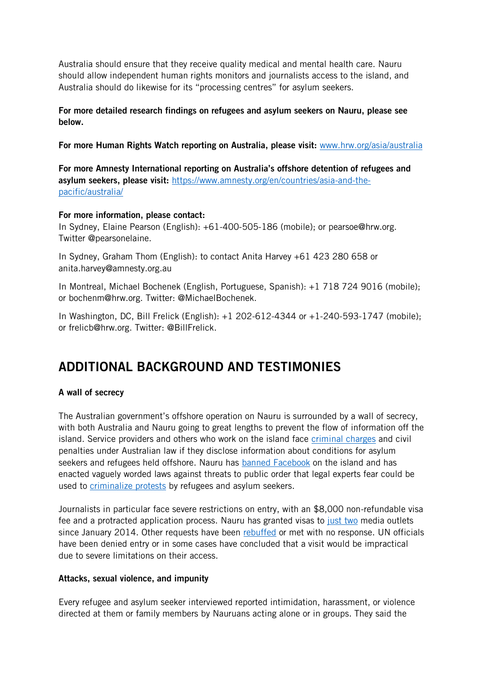Australia should ensure that they receive quality medical and mental health care. Nauru should allow independent human rights monitors and journalists access to the island, and Australia should do likewise for its "processing centres" for asylum seekers.

**For more detailed research findings on refugees and asylum seekers on Nauru, please see below.**

**For more Human Rights Watch reporting on Australia, please visit:** [www.hrw.org/asia/australia](http://www.hrw.org/asia/australia)

**For more Amnesty International reporting on Australia's offshore detention of refugees and asylum seekers, please visit:** [https://www.amnesty.org/en/countries/asia-and-the](https://www.amnesty.org/en/countries/asia-and-the-pacific/australia/)[pacific/australia/](https://www.amnesty.org/en/countries/asia-and-the-pacific/australia/)

#### **For more information, please contact:**

In Sydney, Elaine Pearson (English): +61-400-505-186 (mobile); or pearsoe@hrw.org. Twitter @pearsonelaine.

In Sydney, Graham Thom (English): to contact Anita Harvey +61 423 280 658 or [anita.harvey@amnesty.org.au](mailto:anita.harvey@amnesty.org.au)

In Montreal, Michael Bochenek (English, Portuguese, Spanish): +1 718 724 9016 (mobile); or bochenm@hrw.org. Twitter: @MichaelBochenek.

In Washington, DC, Bill Frelick (English): +1 202-612-4344 or +1-240-593-1747 (mobile); or [frelicb@hrw.org.](mailto:frelicb@hrw.org) Twitter: @BillFrelick.

# **ADDITIONAL BACKGROUND AND TESTIMONIES**

### **A wall of secrecy**

The Australian government's offshore operation on Nauru is surrounded by a wall of secrecy, with both Australia and Nauru going to great lengths to prevent the flow of information off the island. Service providers and others who work on the island face [criminal charges](https://www.theguardian.com/australia-news/2015/jul/01/detention-centre-staff-speak-out-in-defiance-of-new-asylum-secrecy-laws) and civil penalties under Australian law if they disclose information about conditions for asylum seekers and refugees held offshore. Nauru has [banned Facebook](https://www.hrw.org/news/2015/05/26/joint-letter-government-nauru-internet-blocking-and-free-expression) on the island and has enacted vaguely worded laws against threats to public order that legal experts fear could be used to [criminalize protests](https://www.theguardian.com/world/2015/may/13/nauru-asylum-seekers-could-face-jail-for-protesting-conditions-under-new-law) by refugees and asylum seekers.

Journalists in particular face severe restrictions on entry, with an \$8,000 non-refundable visa fee and a protracted application process. Nauru has granted visas to [just two](https://www.theguardian.com/world/2016/jun/22/only-respectful-and-objective-media-outlets-are-welcome-says-nauru) media outlets since January 2014. Other requests have been [rebuffed](http://www.abc.net.au/mediawatch/transcripts/s4339385.htm) or met with no response. UN officials have been denied entry or in some cases have concluded that a visit would be impractical due to severe limitations on their access.

#### **Attacks, sexual violence, and impunity**

Every refugee and asylum seeker interviewed reported intimidation, harassment, or violence directed at them or family members by Nauruans acting alone or in groups. They said the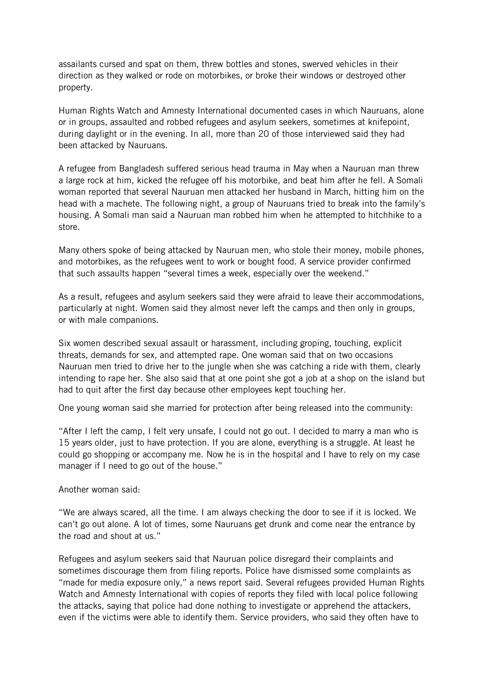assailants cursed and spat on them, threw bottles and stones, swerved vehicles in their direction as they walked or rode on motorbikes, or broke their windows or destroyed other property.

Human Rights Watch and Amnesty International documented cases in which Nauruans, alone or in groups, assaulted and robbed refugees and asylum seekers, sometimes at knifepoint, during daylight or in the evening. In all, more than 20 of those interviewed said they had been attacked by Nauruans.

A refugee from Bangladesh suffered serious head trauma in May when a Nauruan man threw a large rock at him, kicked the refugee off his motorbike, and beat him after he fell. A Somali woman reported that several Nauruan men attacked her husband in March, hitting him on the head with a machete. The following night, a group of Nauruans tried to break into the family's housing. A Somali man said a Nauruan man robbed him when he attempted to hitchhike to a store.

Many others spoke of being attacked by Nauruan men, who stole their money, mobile phones, and motorbikes, as the refugees went to work or bought food. A service provider confirmed that such assaults happen "several times a week, especially over the weekend."

As a result, refugees and asylum seekers said they were afraid to leave their accommodations, particularly at night. Women said they almost never left the camps and then only in groups, or with male companions.

Six women described sexual assault or harassment, including groping, touching, explicit threats, demands for sex, and attempted rape. One woman said that on two occasions Nauruan men tried to drive her to the jungle when she was catching a ride with them, clearly intending to rape her. She also said that at one point she got a job at a shop on the island but had to quit after the first day because other employees kept touching her.

One young woman said she married for protection after being released into the community:

"After I left the camp, I felt very unsafe, I could not go out. I decided to marry a man who is 15 years older, just to have protection. If you are alone, everything is a struggle. At least he could go shopping or accompany me. Now he is in the hospital and I have to rely on my case manager if I need to go out of the house."

Another woman said:

"We are always scared, all the time. I am always checking the door to see if it is locked. We can't go out alone. A lot of times, some Nauruans get drunk and come near the entrance by the road and shout at us."

Refugees and asylum seekers said that Nauruan police disregard their complaints and sometimes discourage them from filing reports. Police have dismissed some complaints as "made for media exposure only," a news report [said.](https://www.theguardian.com/world/2016/mar/10/nauru-refugee-left-with-horrific-head-wound-after-attack-dismissed-by-police) Several refugees provided Human Rights Watch and Amnesty International with copies of reports they filed with local police following the attacks, saying that police had done nothing to investigate or apprehend the attackers, even if the victims were able to identify them. Service providers, who said they often have to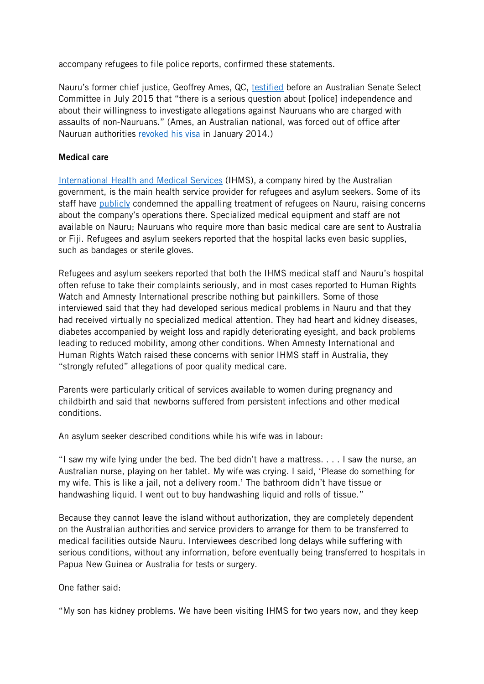accompany refugees to file police reports, confirmed these statements.

Nauru's former chief justice, Geoffrey Ames, QC, [testified](http://www.aph.gov.au/Parliamentary_Business/Committees/Senate/Regional_processing_Nauru/Regional_processing_Nauru/Final_Report) before an Australian Senate Select Committee in July 2015 that "there is a serious question about [police] independence and about their willingness to investigate allegations against Nauruans who are charged with assaults of non-Nauruans." (Ames, an Australian national, was forced out of office after Nauruan authorities [revoked his visa](https://www.theguardian.com/weather/2014/mar/12/naurus-australian-chief-justice-resigns-after-losing-faith-in-the-system) in January 2014.)

#### **Medical care**

[International Health and Medical Services](https://www.theguardian.com/australia-news/2015/jul/21/ihms-the-healthcare-giant-at-the-heart-of-australias-asylum-system-explainer) (IHMS), a company hired by the Australian government, is the main health service provider for refugees and asylum seekers. Some of its staff have [publicly](https://www.theguardian.com/world/2014/aug/05/-sp-australias-detention-regime-sets-out-to-make-asylum-seekers-suffer-says-chief-immigration-psychiatrist) condemned the appalling treatment of refugees on Nauru, raising concerns about the company's operations there. Specialized medical equipment and staff are not available on Nauru; Nauruans who require more than basic medical care are sent to Australia or Fiji. Refugees and asylum seekers reported that the hospital lacks even basic supplies, such as bandages or sterile gloves.

Refugees and asylum seekers reported that both the IHMS medical staff and Nauru's hospital often refuse to take their complaints seriously, and in most cases reported to Human Rights Watch and Amnesty International prescribe nothing but painkillers. Some of those interviewed said that they had developed serious medical problems in Nauru and that they had received virtually no specialized medical attention. They had heart and kidney diseases, diabetes accompanied by weight loss and rapidly deteriorating eyesight, and back problems leading to reduced mobility, among other conditions. When Amnesty International and Human Rights Watch raised these concerns with senior IHMS staff in Australia, they "strongly refuted" allegations of poor quality medical care.

Parents were particularly critical of services available to women during pregnancy and childbirth and said that newborns suffered from persistent infections and other medical conditions.

An asylum seeker described conditions while his wife was in labour:

"I saw my wife lying under the bed. The bed didn't have a mattress. . . . I saw the nurse, an Australian nurse, playing on her tablet. My wife was crying. I said, 'Please do something for my wife. This is like a jail, not a delivery room.' The bathroom didn't have tissue or handwashing liquid. I went out to buy handwashing liquid and rolls of tissue."

Because they cannot leave the island without authorization, they are completely dependent on the Australian authorities and service providers to arrange for them to be transferred to medical facilities outside Nauru. Interviewees described long delays while suffering with serious conditions, without any information, before eventually being transferred to hospitals in Papua New Guinea or Australia for tests or surgery.

One father said:

"My son has kidney problems. We have been visiting IHMS for two years now, and they keep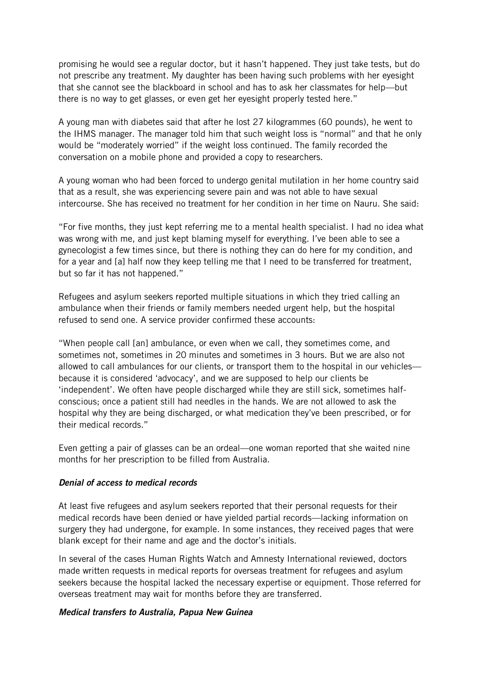promising he would see a regular doctor, but it hasn't happened. They just take tests, but do not prescribe any treatment. My daughter has been having such problems with her eyesight that she cannot see the blackboard in school and has to ask her classmates for help—but there is no way to get glasses, or even get her eyesight properly tested here."

A young man with diabetes said that after he lost 27 kilogrammes (60 pounds), he went to the IHMS manager. The manager told him that such weight loss is "normal" and that he only would be "moderately worried" if the weight loss continued. The family recorded the conversation on a mobile phone and provided a copy to researchers.

A young woman who had been forced to undergo genital mutilation in her home country said that as a result, she was experiencing severe pain and was not able to have sexual intercourse. She has received no treatment for her condition in her time on Nauru. She said:

"For five months, they just kept referring me to a mental health specialist. I had no idea what was wrong with me, and just kept blaming myself for everything. I've been able to see a gynecologist a few times since, but there is nothing they can do here for my condition, and for a year and [a] half now they keep telling me that I need to be transferred for treatment, but so far it has not happened."

Refugees and asylum seekers reported multiple situations in which they tried calling an ambulance when their friends or family members needed urgent help, but the hospital refused to send one. A service provider confirmed these accounts:

"When people call [an] ambulance, or even when we call, they sometimes come, and sometimes not, sometimes in 20 minutes and sometimes in 3 hours. But we are also not allowed to call ambulances for our clients, or transport them to the hospital in our vehicles because it is considered 'advocacy', and we are supposed to help our clients be 'independent'. We often have people discharged while they are still sick, sometimes halfconscious; once a patient still had needles in the hands. We are not allowed to ask the hospital why they are being discharged, or what medication they've been prescribed, or for their medical records."

Even getting a pair of glasses can be an ordeal—one woman reported that she waited nine months for her prescription to be filled from Australia.

#### *Denial of access to medical records*

At least five refugees and asylum seekers reported that their personal requests for their medical records have been denied or have yielded partial records—lacking information on surgery they had undergone, for example. In some instances, they received pages that were blank except for their name and age and the doctor's initials.

In several of the cases Human Rights Watch and Amnesty International reviewed, doctors made written requests in medical reports for overseas treatment for refugees and asylum seekers because the hospital lacked the necessary expertise or equipment. Those referred for overseas treatment may wait for months before they are transferred.

#### *Medical transfers to Australia, Papua New Guinea*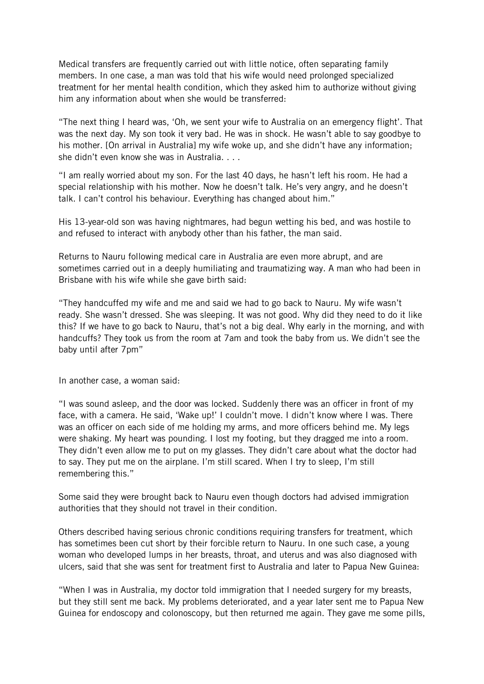Medical transfers are frequently carried out with little notice, often separating family members. In one case, a man was told that his wife would need prolonged specialized treatment for her mental health condition, which they asked him to authorize without giving him any information about when she would be transferred:

"The next thing I heard was, 'Oh, we sent your wife to Australia on an emergency flight'. That was the next day. My son took it very bad. He was in shock. He wasn't able to say goodbye to his mother. [On arrival in Australia] my wife woke up, and she didn't have any information; she didn't even know she was in Australia. . . .

"I am really worried about my son. For the last 40 days, he hasn't left his room. He had a special relationship with his mother. Now he doesn't talk. He's very angry, and he doesn't talk. I can't control his behaviour. Everything has changed about him."

His 13-year-old son was having nightmares, had begun wetting his bed, and was hostile to and refused to interact with anybody other than his father, the man said.

Returns to Nauru following medical care in Australia are even more abrupt, and are sometimes carried out in a deeply humiliating and traumatizing way. A man who had been in Brisbane with his wife while she gave birth said:

"They handcuffed my wife and me and said we had to go back to Nauru. My wife wasn't ready. She wasn't dressed. She was sleeping. It was not good. Why did they need to do it like this? If we have to go back to Nauru, that's not a big deal. Why early in the morning, and with handcuffs? They took us from the room at 7am and took the baby from us. We didn't see the baby until after 7pm"

In another case, a woman said:

"I was sound asleep, and the door was locked. Suddenly there was an officer in front of my face, with a camera. He said, 'Wake up!' I couldn't move. I didn't know where I was. There was an officer on each side of me holding my arms, and more officers behind me. My legs were shaking. My heart was pounding. I lost my footing, but they dragged me into a room. They didn't even allow me to put on my glasses. They didn't care about what the doctor had to say. They put me on the airplane. I'm still scared. When I try to sleep, I'm still remembering this."

Some said they were brought back to Nauru even though doctors had advised immigration authorities that they should not travel in their condition.

Others described having serious chronic conditions requiring transfers for treatment, which has sometimes been cut short by their forcible return to Nauru. In one such case, a young woman who developed lumps in her breasts, throat, and uterus and was also diagnosed with ulcers, said that she was sent for treatment first to Australia and later to Papua New Guinea:

"When I was in Australia, my doctor told immigration that I needed surgery for my breasts, but they still sent me back. My problems deteriorated, and a year later sent me to Papua New Guinea for endoscopy and colonoscopy, but then returned me again. They gave me some pills,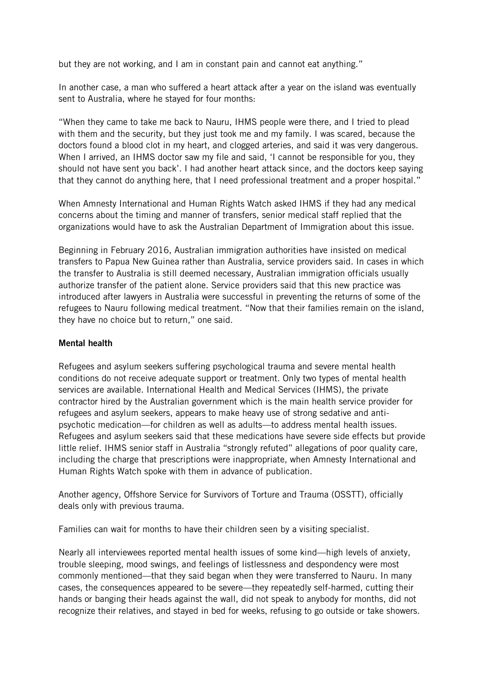but they are not working, and I am in constant pain and cannot eat anything."

In another case, a man who suffered a heart attack after a year on the island was eventually sent to Australia, where he stayed for four months:

"When they came to take me back to Nauru, IHMS people were there, and I tried to plead with them and the security, but they just took me and my family. I was scared, because the doctors found a blood clot in my heart, and clogged arteries, and said it was very dangerous. When I arrived, an IHMS doctor saw my file and said, 'I cannot be responsible for you, they should not have sent you back'. I had another heart attack since, and the doctors keep saying that they cannot do anything here, that I need professional treatment and a proper hospital."

When Amnesty International and Human Rights Watch asked IHMS if they had any medical concerns about the timing and manner of transfers, senior medical staff replied that the organizations would have to ask the Australian Department of Immigration about this issue.

Beginning in February 2016, Australian immigration authorities have insisted on medical transfers to Papua New Guinea rather than Australia, service providers said. In cases in which the transfer to Australia is still deemed necessary, Australian immigration officials usually authorize transfer of the patient alone. Service providers said that this new practice was introduced after lawyers in Australia were successful in preventing the returns of some of the refugees to Nauru following medical treatment. "Now that their families remain on the island, they have no choice but to return," one said.

#### **Mental health**

Refugees and asylum seekers suffering psychological trauma and severe mental health conditions do not receive adequate support or treatment. Only two types of mental health services are available. International Health and Medical Services (IHMS), the private contractor hired by the Australian government which is the main health service provider for refugees and asylum seekers, appears to make heavy use of strong sedative and antipsychotic medication—for children as well as adults—to address mental health issues. Refugees and asylum seekers said that these medications have severe side effects but provide little relief. IHMS senior staff in Australia "strongly refuted" allegations of poor quality care, including the charge that prescriptions were inappropriate, when Amnesty International and Human Rights Watch spoke with them in advance of publication.

Another agency, Offshore Service for Survivors of Torture and Trauma (OSSTT), officially deals only with previous trauma.

Families can wait for months to have their children seen by a visiting specialist.

Nearly all interviewees reported mental health issues of some kind—high levels of anxiety, trouble sleeping, mood swings, and feelings of listlessness and despondency were most commonly mentioned—that they said began when they were transferred to Nauru. In many cases, the consequences appeared to be severe—they repeatedly self-harmed, cutting their hands or banging their heads against the wall, did not speak to anybody for months, did not recognize their relatives, and stayed in bed for weeks, refusing to go outside or take showers.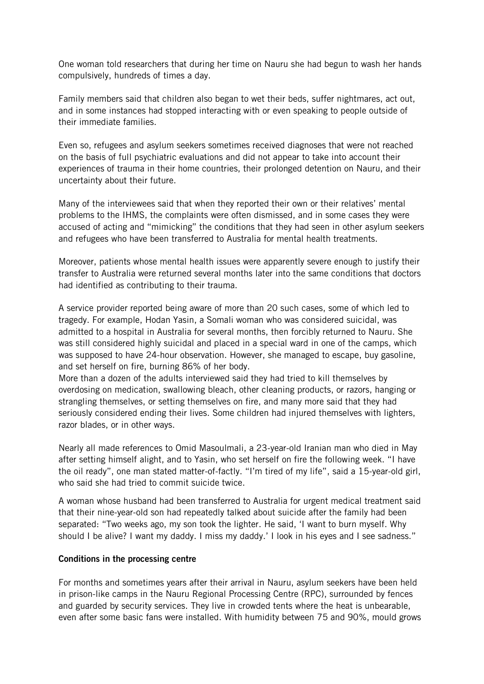One woman told researchers that during her time on Nauru she had begun to wash her hands compulsively, hundreds of times a day.

Family members said that children also began to wet their beds, suffer nightmares, act out, and in some instances had stopped interacting with or even speaking to people outside of their immediate families.

Even so, refugees and asylum seekers sometimes received diagnoses that were not reached on the basis of full psychiatric evaluations and did not appear to take into account their experiences of trauma in their home countries, their prolonged detention on Nauru, and their uncertainty about their future.

Many of the interviewees said that when they reported their own or their relatives' mental problems to the IHMS, the complaints were often dismissed, and in some cases they were accused of acting and "mimicking" the conditions that they had seen in other asylum seekers and refugees who have been transferred to Australia for mental health treatments.

Moreover, patients whose mental health issues were apparently severe enough to justify their transfer to Australia were returned several months later into the same conditions that doctors had identified as contributing to their trauma.

A service provider reported being aware of more than 20 such cases, some of which led to tragedy. For example, Hodan Yasin, a Somali woman who was considered suicidal, was admitted to a hospital in Australia for several months, then forcibly returned to Nauru. She was still considered highly suicidal and placed in a special ward in one of the camps, which was supposed to have 24-hour observation. However, she managed to escape, buy gasoline, and set herself on fire, burning 86% of her body.

More than a dozen of the adults interviewed said they had tried to kill themselves by overdosing on medication, swallowing bleach, other cleaning products, or razors, hanging or strangling themselves, or setting themselves on fire, and many more said that they had seriously considered ending their lives. Some children had injured themselves with lighters, razor blades, or in other ways.

Nearly all made references to Omid Masoulmali, a 23-year-old Iranian man who died in May after setting himself alight, and to Yasin, who set herself on fire the following week. "I have the oil ready", one man stated matter-of-factly. "I'm tired of my life", said a 15-year-old girl, who said she had tried to commit suicide twice.

A woman whose husband had been transferred to Australia for urgent medical treatment said that their nine-year-old son had repeatedly talked about suicide after the family had been separated: "Two weeks ago, my son took the lighter. He said, 'I want to burn myself. Why should I be alive? I want my daddy. I miss my daddy.' I look in his eyes and I see sadness."

#### **Conditions in the processing centre**

For months and sometimes years after their arrival in Nauru, asylum seekers have been held in prison-like camps in the Nauru Regional Processing Centre (RPC), surrounded by fences and guarded by security services. They live in crowded tents where the heat is unbearable, even after some basic fans were installed. With humidity between 75 and 90%, mould grows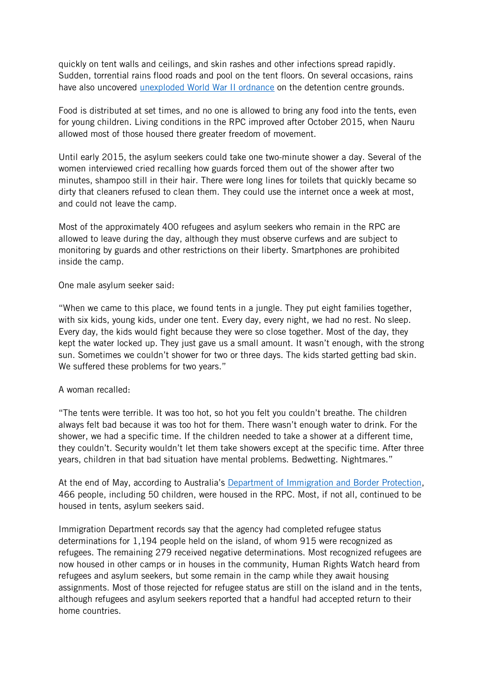quickly on tent walls and ceilings, and skin rashes and other infections spread rapidly. Sudden, torrential rains flood roads and pool on the tent floors. On several occasions, rains have also uncovered [unexploded World War II ordnance](https://www.theguardian.com/world/2015/oct/27/unexploded-wartime-bomb-found-at-nauru-refugee-centre-building-site) on the detention centre grounds.

Food is distributed at set times, and no one is allowed to bring any food into the tents, even for young children. Living conditions in the RPC improved after October 2015, when Nauru allowed most of those housed there greater freedom of movement.

Until early 2015, the asylum seekers could take one two-minute shower a day. Several of the women interviewed cried recalling how guards forced them out of the shower after two minutes, shampoo still in their hair. There were long lines for toilets that quickly became so dirty that cleaners refused to clean them. They could use the internet once a week at most, and could not leave the camp.

Most of the approximately 400 refugees and asylum seekers who remain in the RPC are allowed to leave during the day, although they must observe curfews and are subject to monitoring by guards and other restrictions on their liberty. Smartphones are prohibited inside the camp.

One male asylum seeker said:

"When we came to this place, we found tents in a jungle. They put eight families together, with six kids, young kids, under one tent. Every day, every night, we had no rest. No sleep. Every day, the kids would fight because they were so close together. Most of the day, they kept the water locked up. They just gave us a small amount. It wasn't enough, with the strong sun. Sometimes we couldn't shower for two or three days. The kids started getting bad skin. We suffered these problems for two years."

#### A woman recalled:

"The tents were terrible. It was too hot, so hot you felt you couldn't breathe. The children always felt bad because it was too hot for them. There wasn't enough water to drink. For the shower, we had a specific time. If the children needed to take a shower at a different time, they couldn't. Security wouldn't let them take showers except at the specific time. After three years, children in that bad situation have mental problems. Bedwetting. Nightmares."

At the end of May, according to Australia's [Department of Immigration and Border Protection,](http://newsroom.border.gov.au/channels/Operation-Sovereign-Borders/releases/operation-sovereign-borders-monthly-update-may-2) 466 people, including 50 children, were housed in the RPC. Most, if not all, continued to be housed in tents, asylum seekers said.

Immigration Department records say that the agency had completed refugee status determinations for 1,194 people held on the island, of whom 915 were recognized as refugees. The remaining 279 received negative determinations. Most recognized refugees are now housed in other camps or in houses in the community, Human Rights Watch heard from refugees and asylum seekers, but some remain in the camp while they await housing assignments. Most of those rejected for refugee status are still on the island and in the tents, although refugees and asylum seekers reported that a handful had accepted return to their home countries.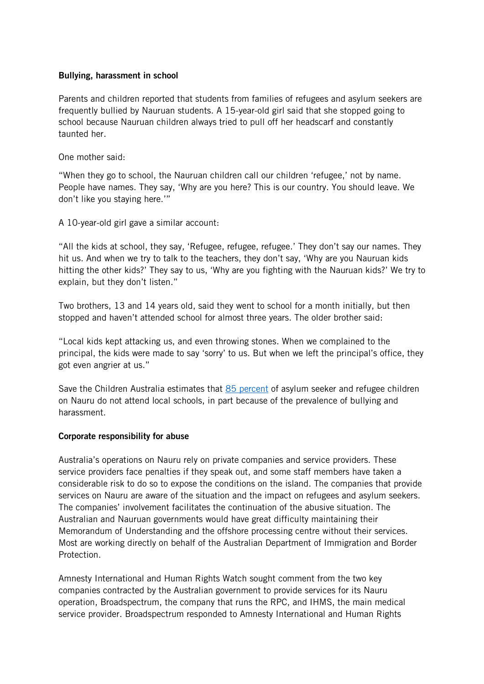#### **Bullying, harassment in school**

Parents and children reported that students from families of refugees and asylum seekers are frequently bullied by Nauruan students. A 15-year-old girl said that she stopped going to school because Nauruan children always tried to pull off her headscarf and constantly taunted her.

One mother said:

"When they go to school, the Nauruan children call our children 'refugee,' not by name. People have names. They say, 'Why are you here? This is our country. You should leave. We don't like you staying here.'"

A 10-year-old girl gave a similar account:

"All the kids at school, they say, 'Refugee, refugee, refugee.' They don't say our names. They hit us. And when we try to talk to the teachers, they don't say, 'Why are you Nauruan kids hitting the other kids?' They say to us, 'Why are you fighting with the Nauruan kids?' We try to explain, but they don't listen."

Two brothers, 13 and 14 years old, said they went to school for a month initially, but then stopped and haven't attended school for almost three years. The older brother said:

"Local kids kept attacking us, and even throwing stones. When we complained to the principal, the kids were made to say 'sorry' to us. But when we left the principal's office, they got even angrier at us."

Save the Children Australia estimates that [85 percent](http://www.smh.com.au/federal-politics/political-news/you-are-terrorists-you-make-bombs-racist-taunts-help-keep-nauru-refugee-kids-out-of-school-20160729-gqglcp.html) of asylum seeker and refugee children on Nauru do not attend local schools, in part because of the prevalence of bullying and harassment.

#### **Corporate responsibility for abuse**

Australia's operations on Nauru rely on private companies and service providers. These service providers face penalties if they speak out, and some staff members have taken a considerable risk to do so to expose the conditions on the island. The companies that provide services on Nauru are aware of the situation and the impact on refugees and asylum seekers. The companies' involvement facilitates the continuation of the abusive situation. The Australian and Nauruan governments would have great difficulty maintaining their Memorandum of Understanding and the offshore processing centre without their services. Most are working directly on behalf of the Australian Department of Immigration and Border Protection.

Amnesty International and Human Rights Watch sought comment from the two key companies contracted by the Australian government to provide services for its Nauru operation, Broadspectrum, the company that runs the RPC, and IHMS, the main medical service provider. Broadspectrum responded to Amnesty International and Human Rights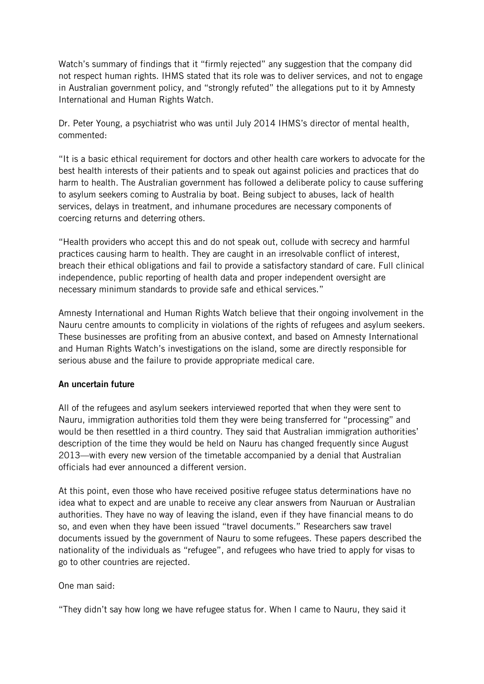Watch's summary of findings that it "firmly rejected" any suggestion that the company did not respect human rights. IHMS stated that its role was to deliver services, and not to engage in Australian government policy, and "strongly refuted" the allegations put to it by Amnesty International and Human Rights Watch.

Dr. Peter Young, a psychiatrist who was until July 2014 IHMS's director of mental health, commented:

"It is a basic ethical requirement for doctors and other health care workers to advocate for the best health interests of their patients and to speak out against policies and practices that do harm to health. The Australian government has followed a deliberate policy to cause suffering to asylum seekers coming to Australia by boat. Being subject to abuses, lack of health services, delays in treatment, and inhumane procedures are necessary components of coercing returns and deterring others.

"Health providers who accept this and do not speak out, collude with secrecy and harmful practices causing harm to health. They are caught in an irresolvable conflict of interest, breach their ethical obligations and fail to provide a satisfactory standard of care. Full clinical independence, public reporting of health data and proper independent oversight are necessary minimum standards to provide safe and ethical services."

Amnesty International and Human Rights Watch believe that their ongoing involvement in the Nauru centre amounts to complicity in violations of the rights of refugees and asylum seekers. These businesses are profiting from an abusive context, and based on Amnesty International and Human Rights Watch's investigations on the island, some are directly responsible for serious abuse and the failure to provide appropriate medical care.

### **An uncertain future**

All of the refugees and asylum seekers interviewed reported that when they were sent to Nauru, immigration authorities told them they were being transferred for "processing" and would be then resettled in a third country. They said that Australian immigration authorities' description of the time they would be held on Nauru has changed frequently since August 2013—with every new version of the timetable accompanied by a denial that Australian officials had ever announced a different version.

At this point, even those who have received positive refugee status determinations have no idea what to expect and are unable to receive any clear answers from Nauruan or Australian authorities. They have no way of leaving the island, even if they have financial means to do so, and even when they have been issued "travel documents." Researchers saw travel documents issued by the government of Nauru to some refugees. These papers described the nationality of the individuals as "refugee", and refugees who have tried to apply for visas to go to other countries are rejected.

One man said:

"They didn't say how long we have refugee status for. When I came to Nauru, they said it